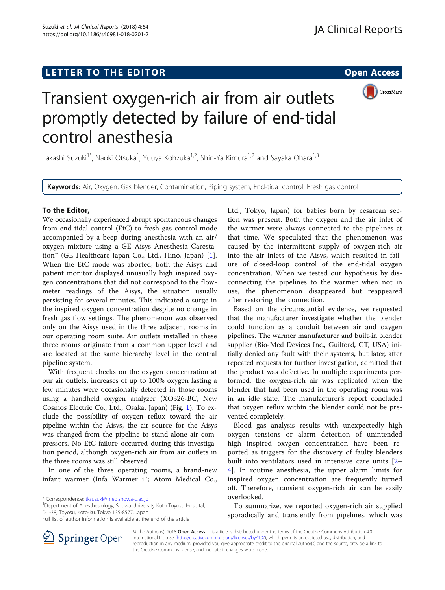## LETTER TO THE EDITOR **CONSIDERING A CONSIDERATION**



# Transient oxygen-rich air from air outlets promptly detected by failure of end-tidal control anesthesia

Takashi Suzuki<sup>1\*</sup>, Naoki Otsuka<sup>1</sup>, Yuuya Kohzuka<sup>1,2</sup>, Shin-Ya Kimura<sup>1,2</sup> and Sayaka Ohara<sup>1,3</sup>

Keywords: Air, Oxygen, Gas blender, Contamination, Piping system, End-tidal control, Fresh gas control

## To the Editor,

We occasionally experienced abrupt spontaneous changes from end-tidal control (EtC) to fresh gas control mode accompanied by a beep during anesthesia with an air/ oxygen mixture using a GE Aisys Anesthesia Carestation™ (GE Healthcare Japan Co., Ltd., Hino, Japan) [[1](#page-1-0)]. When the EtC mode was aborted, both the Aisys and patient monitor displayed unusually high inspired oxygen concentrations that did not correspond to the flowmeter readings of the Aisys, the situation usually persisting for several minutes. This indicated a surge in the inspired oxygen concentration despite no change in fresh gas flow settings. The phenomenon was observed only on the Aisys used in the three adjacent rooms in our operating room suite. Air outlets installed in these three rooms originate from a common upper level and are located at the same hierarchy level in the central pipeline system.

With frequent checks on the oxygen concentration at our air outlets, increases of up to 100% oxygen lasting a few minutes were occasionally detected in those rooms using a handheld oxygen analyzer (XO326-BC, New Cosmos Electric Co., Ltd., Osaka, Japan) (Fig. [1\)](#page-1-0). To exclude the possibility of oxygen reflux toward the air pipeline within the Aisys, the air source for the Aisys was changed from the pipeline to stand-alone air compressors. No EtC failure occurred during this investigation period, although oxygen-rich air from air outlets in the three rooms was still observed.

In one of the three operating rooms, a brand-new infant warmer (Infa Warmer i™; Atom Medical Co.,

Department of Anesthesiology, Showa University Koto Toyosu Hospital, 5-1-38, Toyosu, Koto-ku, Tokyo 135-8577, Japan

Ltd., Tokyo, Japan) for babies born by cesarean section was present. Both the oxygen and the air inlet of the warmer were always connected to the pipelines at that time. We speculated that the phenomenon was caused by the intermittent supply of oxygen-rich air into the air inlets of the Aisys, which resulted in failure of closed-loop control of the end-tidal oxygen concentration. When we tested our hypothesis by disconnecting the pipelines to the warmer when not in use, the phenomenon disappeared but reappeared after restoring the connection.

Based on the circumstantial evidence, we requested that the manufacturer investigate whether the blender could function as a conduit between air and oxygen pipelines. The warmer manufacturer and built-in blender supplier (Bio-Med Devices Inc., Guilford, CT, USA) initially denied any fault with their systems, but later, after repeated requests for further investigation, admitted that the product was defective. In multiple experiments performed, the oxygen-rich air was replicated when the blender that had been used in the operating room was in an idle state. The manufacturer's report concluded that oxygen reflux within the blender could not be prevented completely.

Blood gas analysis results with unexpectedly high oxygen tensions or alarm detection of unintended high inspired oxygen concentration have been reported as triggers for the discovery of faulty blenders built into ventilators used in intensive care units [[2](#page-1-0)– [4\]](#page-1-0). In routine anesthesia, the upper alarm limits for inspired oxygen concentration are frequently turned off. Therefore, transient oxygen-rich air can be easily overlooked.

To summarize, we reported oxygen-rich air supplied sporadically and transiently from pipelines, which was



© The Author(s). 2018 Open Access This article is distributed under the terms of the Creative Commons Attribution 4.0 International License ([http://creativecommons.org/licenses/by/4.0/\)](http://creativecommons.org/licenses/by/4.0/), which permits unrestricted use, distribution, and reproduction in any medium, provided you give appropriate credit to the original author(s) and the source, provide a link to the Creative Commons license, and indicate if changes were made.

<sup>\*</sup> Correspondence: [tksuzuki@med.showa-u.ac.jp](mailto:tksuzuki@med.showa-u.ac.jp) <sup>1</sup>

Full list of author information is available at the end of the article